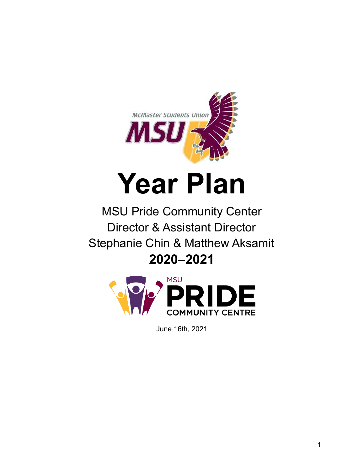

# **Year Plan**

MSU Pride Community Center Director & Assistant Director Stephanie Chin & Matthew Aksamit **2020–2021**



June 16th, 2021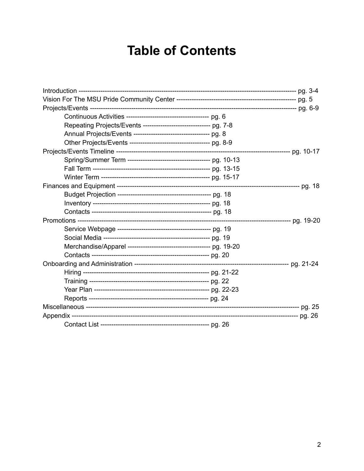# **Table of Contents**

| Repeating Projects/Events ------------------------------ pg. 7-8 |  |
|------------------------------------------------------------------|--|
| Annual Projects/Events ----------------------------------- pg. 8 |  |
|                                                                  |  |
|                                                                  |  |
|                                                                  |  |
|                                                                  |  |
|                                                                  |  |
|                                                                  |  |
|                                                                  |  |
|                                                                  |  |
|                                                                  |  |
|                                                                  |  |
|                                                                  |  |
|                                                                  |  |
|                                                                  |  |
|                                                                  |  |
|                                                                  |  |
|                                                                  |  |
|                                                                  |  |
|                                                                  |  |
|                                                                  |  |
|                                                                  |  |
|                                                                  |  |
|                                                                  |  |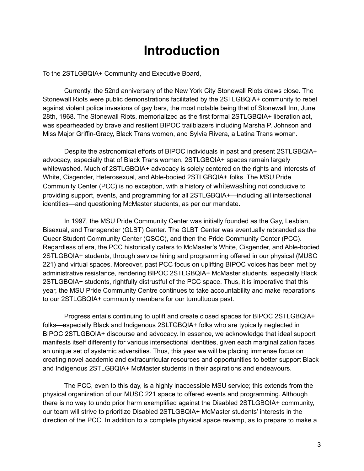# **Introduction**

To the 2STLGBQIA+ Community and Executive Board,

Currently, the 52nd anniversary of the New York City Stonewall Riots draws close. The Stonewall Riots were public demonstrations facilitated by the 2STLGBQIA+ community to rebel against violent police invasions of gay bars, the most notable being that of Stonewall Inn, June 28th, 1968. The Stonewall Riots, memorialized as the first formal 2STLGBQIA+ liberation act, was spearheaded by brave and resilient BIPOC trailblazers including Marsha P. Johnson and Miss Major Griffin-Gracy, Black Trans women, and Sylvia Rivera, a Latina Trans woman.

Despite the astronomical efforts of BIPOC individuals in past and present 2STLGBQIA+ advocacy, especially that of Black Trans women, 2STLGBQIA+ spaces remain largely whitewashed. Much of 2STLGBQIA+ advocacy is solely centered on the rights and interests of White, Cisgender, Heterosexual, and Able-bodied 2STLGBQIA+ folks. The MSU Pride Community Center (PCC) is no exception, with a history of whitewashing not conducive to providing support, events, and programming for all 2STLGBQIA+—including all intersectional identities—and questioning McMaster students, as per our mandate.

In 1997, the MSU Pride Community Center was initially founded as the Gay, Lesbian, Bisexual, and Transgender (GLBT) Center. The GLBT Center was eventually rebranded as the Queer Student Community Center (QSCC), and then the Pride Community Center (PCC). Regardless of era, the PCC historically caters to McMaster's White, Cisgender, and Able-bodied 2STLGBQIA+ students, through service hiring and programming offered in our physical (MUSC 221) and virtual spaces. Moreover, past PCC focus on uplifting BIPOC voices has been met by administrative resistance, rendering BIPOC 2STLGBQIA+ McMaster students, especially Black 2STLGBQIA+ students, rightfully distrustful of the PCC space. Thus, it is imperative that this year, the MSU Pride Community Centre continues to take accountability and make reparations to our 2STLGBQIA+ community members for our tumultuous past.

Progress entails continuing to uplift and create closed spaces for BIPOC 2STLGBQIA+ folks—especially Black and Indigenous 2SLTGBQIA+ folks who are typically neglected in BIPOC 2STLGBQIA+ discourse and advocacy. In essence, we acknowledge that ideal support manifests itself differently for various intersectional identities, given each marginalization faces an unique set of systemic adversities. Thus, this year we will be placing immense focus on creating novel academic and extracurricular resources and opportunities to better support Black and Indigenous 2STLGBQIA+ McMaster students in their aspirations and endeavours.

The PCC, even to this day, is a highly inaccessible MSU service; this extends from the physical organization of our MUSC 221 space to offered events and programming. Although there is no way to undo prior harm exemplified against the Disabled 2STLGBQIA+ community, our team will strive to prioritize Disabled 2STLGBQIA+ McMaster students' interests in the direction of the PCC. In addition to a complete physical space revamp, as to prepare to make a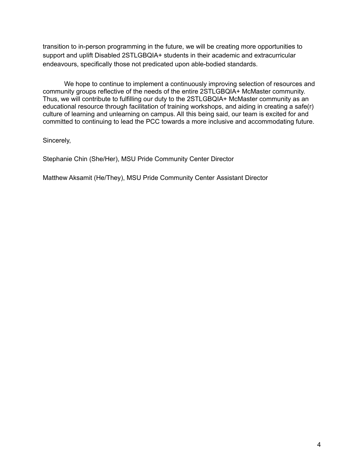transition to in-person programming in the future, we will be creating more opportunities to support and uplift Disabled 2STLGBQIA+ students in their academic and extracurricular endeavours, specifically those not predicated upon able-bodied standards.

We hope to continue to implement a continuously improving selection of resources and community groups reflective of the needs of the entire 2STLGBQIA+ McMaster community. Thus, we will contribute to fulfilling our duty to the 2STLGBQIA+ McMaster community as an educational resource through facilitation of training workshops, and aiding in creating a safe(r) culture of learning and unlearning on campus. All this being said, our team is excited for and committed to continuing to lead the PCC towards a more inclusive and accommodating future.

Sincerely,

Stephanie Chin (She/Her), MSU Pride Community Center Director

Matthew Aksamit (He/They), MSU Pride Community Center Assistant Director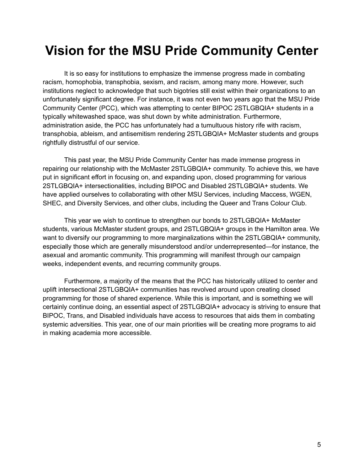# **Vision for the MSU Pride Community Center**

It is so easy for institutions to emphasize the immense progress made in combating racism, homophobia, transphobia, sexism, and racism, among many more. However, such institutions neglect to acknowledge that such bigotries still exist within their organizations to an unfortunately significant degree. For instance, it was not even two years ago that the MSU Pride Community Center (PCC), which was attempting to center BIPOC 2STLGBQIA+ students in a typically whitewashed space, was shut down by white administration. Furthermore, administration aside, the PCC has unfortunately had a tumultuous history rife with racism, transphobia, ableism, and antisemitism rendering 2STLGBQIA+ McMaster students and groups rightfully distrustful of our service.

This past year, the MSU Pride Community Center has made immense progress in repairing our relationship with the McMaster 2STLGBQIA+ community. To achieve this, we have put in significant effort in focusing on, and expanding upon, closed programming for various 2STLGBQIA+ intersectionalities, including BIPOC and Disabled 2STLGBQIA+ students. We have applied ourselves to collaborating with other MSU Services, including Maccess, WGEN, SHEC, and Diversity Services, and other clubs, including the Queer and Trans Colour Club.

This year we wish to continue to strengthen our bonds to 2STLGBQIA+ McMaster students, various McMaster student groups, and 2STLGBQIA+ groups in the Hamilton area. We want to diversify our programming to more marginalizations within the 2STLGBQIA+ community, especially those which are generally misunderstood and/or underrepresented—for instance, the asexual and aromantic community. This programming will manifest through our campaign weeks, independent events, and recurring community groups.

Furthermore, a majority of the means that the PCC has historically utilized to center and uplift intersectional 2STLGBQIA+ communities has revolved around upon creating closed programming for those of shared experience. While this is important, and is something we will certainly continue doing, an essential aspect of 2STLGBQIA+ advocacy is striving to ensure that BIPOC, Trans, and Disabled individuals have access to resources that aids them in combating systemic adversities. This year, one of our main priorities will be creating more programs to aid in making academia more accessible.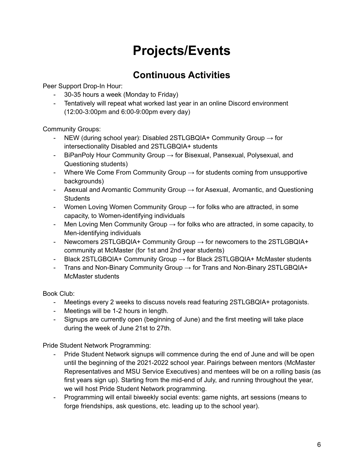# **Projects/Events**

### **Continuous Activities**

Peer Support Drop-In Hour:

- 30-35 hours a week (Monday to Friday)
- Tentatively will repeat what worked last year in an online Discord environment (12:00-3:00pm and 6:00-9:00pm every day)

Community Groups:

- NEW (during school year): Disabled 2STLGBQIA+ Community Group  $\rightarrow$  for intersectionality Disabled and 2STLGBQIA+ students
- BiPanPoly Hour Community Group  $\rightarrow$  for Bisexual, Pansexual, Polysexual, and Questioning students)
- Where We Come From Community Group  $\rightarrow$  for students coming from unsupportive backgrounds)
- Asexual and Aromantic Community Group  $\rightarrow$  for Asexual, Aromantic, and Questioning **Students**
- Women Loving Women Community Group  $\rightarrow$  for folks who are attracted, in some capacity, to Women-identifying individuals
- Men Loving Men Community Group  $\rightarrow$  for folks who are attracted, in some capacity, to Men-identifying individuals
- Newcomers 2STLGBQIA+ Community Group  $\rightarrow$  for newcomers to the 2STLGBQIA+ community at McMaster (for 1st and 2nd year students)
- Black 2STLGBQIA+ Community Group → for Black 2STLGBQIA+ McMaster students
- Trans and Non-Binary Community Group  $\rightarrow$  for Trans and Non-Binary 2STLGBQIA+ McMaster students

Book Club:

- Meetings every 2 weeks to discuss novels read featuring 2STLGBQIA+ protagonists.
- Meetings will be 1-2 hours in length.
- Signups are currently open (beginning of June) and the first meeting will take place during the week of June 21st to 27th.

Pride Student Network Programming:

- Pride Student Network signups will commence during the end of June and will be open until the beginning of the 2021-2022 school year. Pairings between mentors (McMaster Representatives and MSU Service Executives) and mentees will be on a rolling basis (as first years sign up). Starting from the mid-end of July, and running throughout the year, we will host Pride Student Network programming.
- Programming will entail biweekly social events: game nights, art sessions (means to forge friendships, ask questions, etc. leading up to the school year).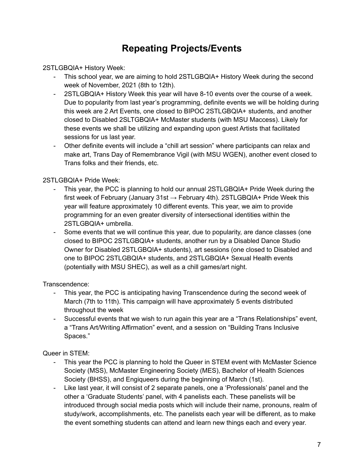### **Repeating Projects/Events**

2STLGBQIA+ History Week:

- This school year, we are aiming to hold 2STLGBQIA+ History Week during the second week of November, 2021 (8th to 12th).
- 2STLGBQIA+ History Week this year will have 8-10 events over the course of a week. Due to popularity from last year's programming, definite events we will be holding during this week are 2 Art Events, one closed to BIPOC 2STLGBQIA+ students, and another closed to Disabled 2SLTGBQIA+ McMaster students (with MSU Maccess). Likely for these events we shall be utilizing and expanding upon guest Artists that facilitated sessions for us last year.
- Other definite events will include a "chill art session" where participants can relax and make art, Trans Day of Remembrance Vigil (with MSU WGEN), another event closed to Trans folks and their friends, etc.

2STLGBQIA+ Pride Week:

- This year, the PCC is planning to hold our annual 2STLGBQIA+ Pride Week during the first week of February (January 31st  $\rightarrow$  February 4th). 2STLGBQIA+ Pride Week this year will feature approximately 10 different events. This year, we aim to provide programming for an even greater diversity of intersectional identities within the 2STLGBQIA+ umbrella.
- Some events that we will continue this year, due to popularity, are dance classes (one closed to BIPOC 2STLGBQIA+ students, another run by a Disabled Dance Studio Owner for Disabled 2STLGBQIA+ students), art sessions (one closed to Disabled and one to BIPOC 2STLGBQIA+ students, and 2STLGBQIA+ Sexual Health events (potentially with MSU SHEC), as well as a chill games/art night.

#### Transcendence:

- This year, the PCC is anticipating having Transcendence during the second week of March (7th to 11th). This campaign will have approximately 5 events distributed throughout the week
- Successful events that we wish to run again this year are a "Trans Relationships" event, a "Trans Art/Writing Affirmation" event, and a session on "Building Trans Inclusive Spaces."

#### Queer in STEM:

- This year the PCC is planning to hold the Queer in STEM event with McMaster Science Society (MSS), McMaster Engineering Society (MES), Bachelor of Health Sciences Society (BHSS), and Engiqueers during the beginning of March (1st).
- Like last year, it will consist of 2 separate panels, one a 'Professionals' panel and the other a 'Graduate Students' panel, with 4 panelists each. These panelists will be introduced through social media posts which will include their name, pronouns, realm of study/work, accomplishments, etc. The panelists each year will be different, as to make the event something students can attend and learn new things each and every year.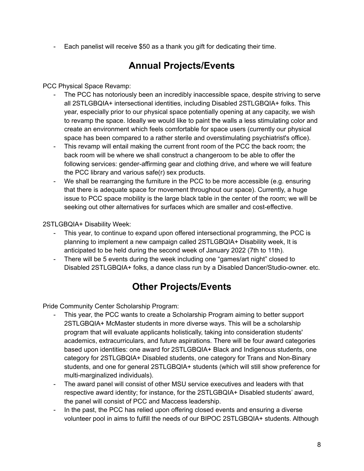Each panelist will receive \$50 as a thank you gift for dedicating their time.

### **Annual Projects/Events**

PCC Physical Space Revamp:

- The PCC has notoriously been an incredibly inaccessible space, despite striving to serve all 2STLGBQIA+ intersectional identities, including Disabled 2STLGBQIA+ folks. This year, especially prior to our physical space potentially opening at any capacity, we wish to revamp the space. Ideally we would like to paint the walls a less stimulating color and create an environment which feels comfortable for space users (currently our physical space has been compared to a rather sterile and overstimulating psychiatrist's office).
- This revamp will entail making the current front room of the PCC the back room; the back room will be where we shall construct a changeroom to be able to offer the following services: gender-affirming gear and clothing drive, and where we will feature the PCC library and various safe(r) sex products.
- We shall be rearranging the furniture in the PCC to be more accessible (e.g. ensuring that there is adequate space for movement throughout our space). Currently, a huge issue to PCC space mobility is the large black table in the center of the room; we will be seeking out other alternatives for surfaces which are smaller and cost-effective.

2STLGBQIA+ Disability Week:

- This year, to continue to expand upon offered intersectional programming, the PCC is planning to implement a new campaign called 2STLGBQIA+ Disability week, It is anticipated to be held during the second week of January 2022 (7th to 11th).
- There will be 5 events during the week including one "games/art night" closed to Disabled 2STLGBQIA+ folks, a dance class run by a Disabled Dancer/Studio-owner. etc.

### **Other Projects/Events**

Pride Community Center Scholarship Program:

- This year, the PCC wants to create a Scholarship Program aiming to better support 2STLGBQIA+ McMaster students in more diverse ways. This will be a scholarship program that will evaluate applicants holistically, taking into consideration students' academics, extracurriculars, and future aspirations. There will be four award categories based upon identities: one award for 2STLGBQIA+ Black and Indigenous students, one category for 2STLGBQIA+ Disabled students, one category for Trans and Non-Binary students, and one for general 2STLGBQIA+ students (which will still show preference for multi-marginalized individuals).
- The award panel will consist of other MSU service executives and leaders with that respective award identity; for instance, for the 2STLGBQIA+ Disabled students' award, the panel will consist of PCC and Maccess leadership.
- In the past, the PCC has relied upon offering closed events and ensuring a diverse volunteer pool in aims to fulfill the needs of our BIPOC 2STLGBQIA+ students. Although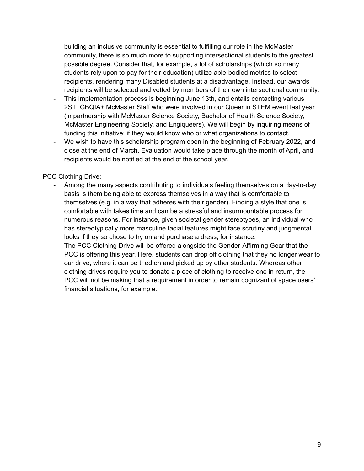building an inclusive community is essential to fulfilling our role in the McMaster community, there is so much more to supporting intersectional students to the greatest possible degree. Consider that, for example, a lot of scholarships (which so many students rely upon to pay for their education) utilize able-bodied metrics to select recipients, rendering many Disabled students at a disadvantage. Instead, our awards recipients will be selected and vetted by members of their own intersectional community.

- This implementation process is beginning June 13th, and entails contacting various 2STLGBQIA+ McMaster Staff who were involved in our Queer in STEM event last year (in partnership with McMaster Science Society, Bachelor of Health Science Society, McMaster Engineering Society, and Engiqueers). We will begin by inquiring means of funding this initiative; if they would know who or what organizations to contact.
- We wish to have this scholarship program open in the beginning of February 2022, and close at the end of March. Evaluation would take place through the month of April, and recipients would be notified at the end of the school year.

PCC Clothing Drive:

- Among the many aspects contributing to individuals feeling themselves on a day-to-day basis is them being able to express themselves in a way that is comfortable to themselves (e.g. in a way that adheres with their gender). Finding a style that one is comfortable with takes time and can be a stressful and insurmountable process for numerous reasons. For instance, given societal gender stereotypes, an individual who has stereotypically more masculine facial features might face scrutiny and judgmental looks if they so chose to try on and purchase a dress, for instance.
- The PCC Clothing Drive will be offered alongside the Gender-Affirming Gear that the PCC is offering this year. Here, students can drop off clothing that they no longer wear to our drive, where it can be tried on and picked up by other students. Whereas other clothing drives require you to donate a piece of clothing to receive one in return, the PCC will not be making that a requirement in order to remain cognizant of space users' financial situations, for example.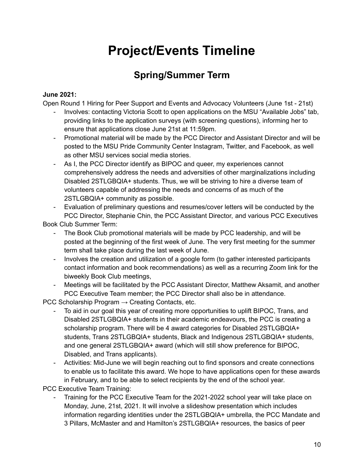# **Project/Events Timeline**

### **Spring/Summer Term**

#### **June 2021:**

Open Round 1 Hiring for Peer Support and Events and Advocacy Volunteers (June 1st - 21st)

- Involves: contacting Victoria Scott to open applications on the MSU "Available Jobs" tab, providing links to the application surveys (with screening questions), informing her to ensure that applications close June 21st at 11:59pm.
- Promotional material will be made by the PCC Director and Assistant Director and will be posted to the MSU Pride Community Center Instagram, Twitter, and Facebook, as well as other MSU services social media stories.
- As I, the PCC Director identify as BIPOC and queer, my experiences cannot comprehensively address the needs and adversities of other marginalizations including Disabled 2STLGBQIA+ students. Thus, we will be striving to hire a diverse team of volunteers capable of addressing the needs and concerns of as much of the 2STLGBQIA+ community as possible.

- Evaluation of preliminary questions and resumes/cover letters will be conducted by the PCC Director, Stephanie Chin, the PCC Assistant Director, and various PCC Executives

Book Club Summer Term:

- The Book Club promotional materials will be made by PCC leadership, and will be posted at the beginning of the first week of June. The very first meeting for the summer term shall take place during the last week of June.
- Involves the creation and utilization of a google form (to gather interested participants contact information and book recommendations) as well as a recurring Zoom link for the biweekly Book Club meetings,
- Meetings will be facilitated by the PCC Assistant Director, Matthew Aksamit, and another PCC Executive Team member; the PCC Director shall also be in attendance.

PCC Scholarship Program  $\rightarrow$  Creating Contacts, etc.

- To aid in our goal this year of creating more opportunities to uplift BIPOC, Trans, and Disabled 2STLGBQIA+ students in their academic endeavours, the PCC is creating a scholarship program. There will be 4 award categories for Disabled 2STLGBQIA+ students, Trans 2STLGBQIA+ students, Black and Indigenous 2STLGBQIA+ students, and one general 2STLGBQIA+ award (which will still show preference for BIPOC, Disabled, and Trans applicants).
- Activities: Mid-June we will begin reaching out to find sponsors and create connections to enable us to facilitate this award. We hope to have applications open for these awards in February, and to be able to select recipients by the end of the school year.

PCC Executive Team Training:

Training for the PCC Executive Team for the 2021-2022 school year will take place on Monday, June, 21st, 2021. It will involve a slideshow presentation which includes information regarding identities under the 2STLGBQIA+ umbrella, the PCC Mandate and 3 Pillars, McMaster and and Hamilton's 2STLGBQIA+ resources, the basics of peer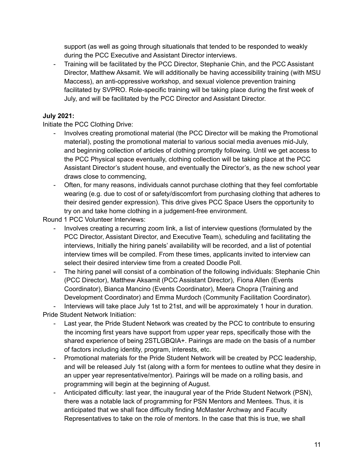support (as well as going through situationals that tended to be responded to weakly during the PCC Executive and Assistant Director interviews.

- Training will be facilitated by the PCC Director, Stephanie Chin, and the PCC Assistant Director, Matthew Aksamit. We will additionally be having accessibility training (with MSU Maccess), an anti-oppressive workshop, and sexual violence prevention training facilitated by SVPRO. Role-specific training will be taking place during the first week of July, and will be facilitated by the PCC Director and Assistant Director.

#### **July 2021:**

Initiate the PCC Clothing Drive:

- Involves creating promotional material (the PCC Director will be making the Promotional material), posting the promotional material to various social media avenues mid-July, and beginning collection of articles of clothing promptly following. Until we get access to the PCC Physical space eventually, clothing collection will be taking place at the PCC Assistant Director's student house, and eventually the Director's, as the new school year draws close to commencing,
- Often, for many reasons, individuals cannot purchase clothing that they feel comfortable wearing (e.g. due to cost of or safety/discomfort from purchasing clothing that adheres to their desired gender expression). This drive gives PCC Space Users the opportunity to try on and take home clothing in a judgement-free environment.

Round 1 PCC Volunteer Interviews:

- Involves creating a recurring zoom link, a list of interview questions (formulated by the PCC Director, Assistant Director, and Executive Team), scheduling and facilitating the interviews, Initially the hiring panels' availability will be recorded, and a list of potential interview times will be compiled. From these times, applicants invited to interview can select their desired interview time from a created Doodle Poll.
- The hiring panel will consist of a combination of the following individuals: Stephanie Chin (PCC Director), Matthew Aksamit (PCC Assistant Director), Fiona Allen (Events Coordinator), Bianca Mancino (Events Coordinator), Meera Chopra (Training and Development Coordinator) and Emma Murdoch (Community Facilitation Coordinator).

- Interviews will take place July 1st to 21st, and will be approximately 1 hour in duration. Pride Student Network Initiation:

- Last year, the Pride Student Network was created by the PCC to contribute to ensuring the incoming first years have support from upper year reps, specifically those with the shared experience of being 2STLGBQIA+. Pairings are made on the basis of a number of factors including identity, program, interests, etc.
- Promotional materials for the Pride Student Network will be created by PCC leadership, and will be released July 1st (along with a form for mentees to outline what they desire in an upper year representative/mentor). Pairings will be made on a rolling basis, and programming will begin at the beginning of August.
- Anticipated difficulty: last year, the inaugural year of the Pride Student Network (PSN), there was a notable lack of programming for PSN Mentors and Mentees. Thus, it is anticipated that we shall face difficulty finding McMaster Archway and Faculty Representatives to take on the role of mentors. In the case that this is true, we shall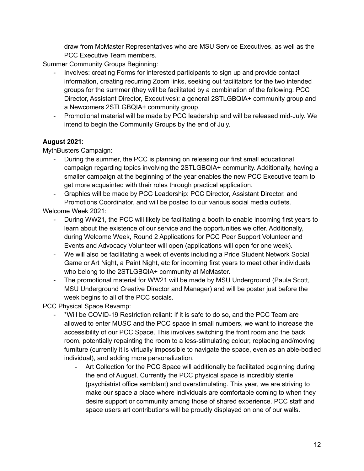draw from McMaster Representatives who are MSU Service Executives, as well as the PCC Executive Team members.

Summer Community Groups Beginning:

- Involves: creating Forms for interested participants to sign up and provide contact information, creating recurring Zoom links, seeking out facilitators for the two intended groups for the summer (they will be facilitated by a combination of the following: PCC Director, Assistant Director, Executives): a general 2STLGBQIA+ community group and a Newcomers 2STLGBQIA+ community group.
- Promotional material will be made by PCC leadership and will be released mid-July. We intend to begin the Community Groups by the end of July.

#### **August 2021:**

MythBusters Campaign:

- During the summer, the PCC is planning on releasing our first small educational campaign regarding topics involving the 2STLGBQIA+ community. Additionally, having a smaller campaign at the beginning of the year enables the new PCC Executive team to get more acquainted with their roles through practical application.
- Graphics will be made by PCC Leadership: PCC Director, Assistant Director, and Promotions Coordinator, and will be posted to our various social media outlets.

Welcome Week 2021:

- During WW21, the PCC will likely be facilitating a booth to enable incoming first years to learn about the existence of our service and the opportunities we offer. Additionally, during Welcome Week, Round 2 Applications for PCC Peer Support Volunteer and Events and Advocacy Volunteer will open (applications will open for one week).
- We will also be facilitating a week of events including a Pride Student Network Social Game or Art Night, a Paint Night, etc for incoming first years to meet other individuals who belong to the 2STLGBQIA+ community at McMaster.
- The promotional material for WW21 will be made by MSU Underground (Paula Scott, MSU Underground Creative Director and Manager) and will be poster just before the week begins to all of the PCC socials.

PCC Physical Space Revamp:

- \*Will be COVID-19 Restriction reliant: If it is safe to do so, and the PCC Team are allowed to enter MUSC and the PCC space in small numbers, we want to increase the accessibility of our PCC Space. This involves switching the front room and the back room, potentially repainting the room to a less-stimulating colour, replacing and/moving furniture (currently it is virtually impossible to navigate the space, even as an able-bodied individual), and adding more personalization.
	- Art Collection for the PCC Space will additionally be facilitated beginning during the end of August. Currently the PCC physical space is incredibly sterile (psychiatrist office semblant) and overstimulating. This year, we are striving to make our space a place where individuals are comfortable coming to when they desire support or community among those of shared experience. PCC staff and space users art contributions will be proudly displayed on one of our walls.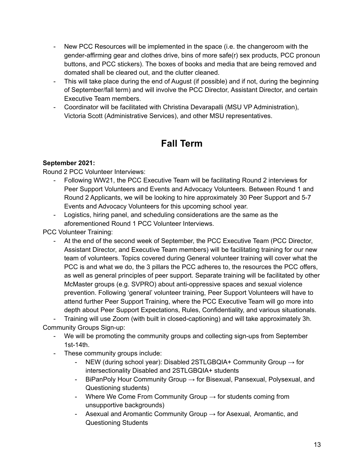- New PCC Resources will be implemented in the space (i.e. the changeroom with the gender-affirming gear and clothes drive, bins of more safe(r) sex products, PCC pronoun buttons, and PCC stickers). The boxes of books and media that are being removed and domated shall be cleared out, and the clutter cleaned.
- This will take place during the end of August (if possible) and if not, during the beginning of September/fall term) and will involve the PCC Director, Assistant Director, and certain Executive Team members.
- Coordinator will be facilitated with Christina Devarapalli (MSU VP Administration), Victoria Scott (Administrative Services), and other MSU representatives.

### **Fall Term**

#### **September 2021:**

Round 2 PCC Volunteer Interviews:

- Following WW21, the PCC Executive Team will be facilitating Round 2 interviews for Peer Support Volunteers and Events and Advocacy Volunteers. Between Round 1 and Round 2 Applicants, we will be looking to hire approximately 30 Peer Support and 5-7 Events and Advocacy Volunteers for this upcoming school year.
- Logistics, hiring panel, and scheduling considerations are the same as the aforementioned Round 1 PCC Volunteer Interviews.

PCC Volunteer Training:

At the end of the second week of September, the PCC Executive Team (PCC Director, Assistant Director, and Executive Team members) will be facilitating training for our new team of volunteers. Topics covered during General volunteer training will cover what the PCC is and what we do, the 3 pillars the PCC adheres to, the resources the PCC offers, as well as general principles of peer support. Separate training will be facilitated by other McMaster groups (e.g. SVPRO) about anti-oppressive spaces and sexual violence prevention. Following 'general' volunteer training, Peer Support Volunteers will have to attend further Peer Support Training, where the PCC Executive Team will go more into depth about Peer Support Expectations, Rules, Confidentiality, and various situationals.

- Training will use Zoom (with built in closed-captioning) and will take approximately 3h. Community Groups Sign-up:

- We will be promoting the community groups and collecting sign-ups from September 1st-14th.
- These community groups include:
	- NEW (during school year): Disabled 2STLGBQIA+ Community Group  $\rightarrow$  for intersectionality Disabled and 2STLGBQIA+ students
	- BiPanPoly Hour Community Group  $\rightarrow$  for Bisexual, Pansexual, Polysexual, and Questioning students)
	- Where We Come From Community Group  $\rightarrow$  for students coming from unsupportive backgrounds)
	- Asexual and Aromantic Community Group  $\rightarrow$  for Asexual, Aromantic, and Questioning Students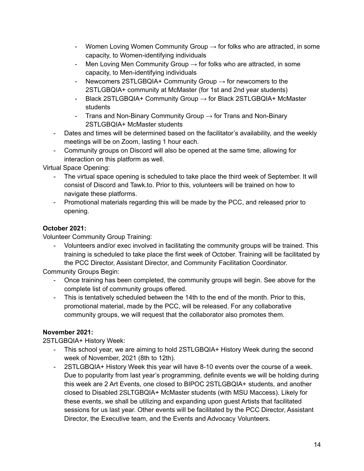- Women Loving Women Community Group  $\rightarrow$  for folks who are attracted, in some capacity, to Women-identifying individuals
- Men Loving Men Community Group  $\rightarrow$  for folks who are attracted, in some capacity, to Men-identifying individuals
- Newcomers 2STLGBQIA+ Community Group  $\rightarrow$  for newcomers to the 2STLGBQIA+ community at McMaster (for 1st and 2nd year students)
- Black 2STLGBQIA+ Community Group → for Black 2STLGBQIA+ McMaster students
- Trans and Non-Binary Community Group  $\rightarrow$  for Trans and Non-Binary 2STLGBQIA+ McMaster students
- Dates and times will be determined based on the facilitator's availability, and the weekly meetings will be on Zoom, lasting 1 hour each.
- Community groups on Discord will also be opened at the same time, allowing for interaction on this platform as well.

Virtual Space Opening:

- The virtual space opening is scheduled to take place the third week of September. It will consist of Discord and Tawk.to. Prior to this, volunteers will be trained on how to navigate these platforms.
- Promotional materials regarding this will be made by the PCC, and released prior to opening.

#### **October 2021:**

Volunteer Community Group Training:

- Volunteers and/or exec involved in facilitating the community groups will be trained. This training is scheduled to take place the first week of October. Training will be facilitated by the PCC Director, Assistant Director, and Community Facilitation Coordinator.

Community Groups Begin:

- Once training has been completed, the community groups will begin. See above for the complete list of community groups offered.
- This is tentatively scheduled between the 14th to the end of the month. Prior to this, promotional material, made by the PCC, will be released. For any collaborative community groups, we will request that the collaborator also promotes them.

#### **November 2021:**

2STLGBQIA+ History Week:

- This school year, we are aiming to hold 2STLGBQIA+ History Week during the second week of November, 2021 (8th to 12th).
- 2STLGBQIA+ History Week this year will have 8-10 events over the course of a week. Due to popularity from last year's programming, definite events we will be holding during this week are 2 Art Events, one closed to BIPOC 2STLGBQIA+ students, and another closed to Disabled 2SLTGBQIA+ McMaster students (with MSU Maccess). Likely for these events, we shall be utilizing and expanding upon guest Artists that facilitated sessions for us last year. Other events will be facilitated by the PCC Director, Assistant Director, the Executive team, and the Events and Advocacy Volunteers.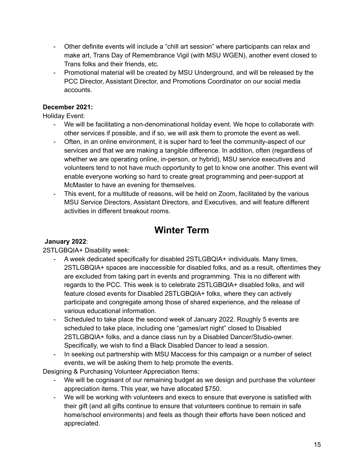- Other definite events will include a "chill art session" where participants can relax and make art, Trans Day of Remembrance Vigil (with MSU WGEN), another event closed to Trans folks and their friends, etc.
- Promotional material will be created by MSU Underground, and will be released by the PCC Director, Assistant Director, and Promotions Coordinator on our social media accounts.

#### **December 2021:**

Holiday Event:

- We will be facilitating a non-denominational holiday event. We hope to collaborate with other services if possible, and if so, we will ask them to promote the event as well.
- Often, in an online environment, it is super hard to feel the community-aspect of our services and that we are making a tangible difference. In addition, often (regardless of whether we are operating online, in-person, or hybrid), MSU service executives and volunteers tend to not have much opportunity to get to know one another. This event will enable everyone working so hard to create great programming and peer-support at McMaster to have an evening for themselves.
- This event, for a multitude of reasons, will be held on Zoom, facilitated by the various MSU Service Directors, Assistant Directors, and Executives, and will feature different activities in different breakout rooms.

### **Winter Term**

#### **January 2022**:

2STLGBQIA+ Disability week:

- A week dedicated specifically for disabled 2STLGBQIA+ individuals. Many times, 2STLGBQIA+ spaces are inaccessible for disabled folks, and as a result, oftentimes they are excluded from taking part in events and programming. This is no different with regards to the PCC. This week is to celebrate 2STLGBQIA+ disabled folks, and will feature closed events for Disabled 2STLGBQIA+ folks, where they can actively participate and congregate among those of shared experience, and the release of various educational information.
- Scheduled to take place the second week of January 2022. Roughly 5 events are scheduled to take place, including one "games/art night" closed to Disabled 2STLGBQIA+ folks, and a dance class run by a Disabled Dancer/Studio-owner. Specifically, we wish to find a Black Disabled Dancer to lead a session.
- In seeking out partnership with MSU Maccess for this campaign or a number of select events, we will be asking them to help promote the events.

Designing & Purchasing Volunteer Appreciation Items:

- We will be cognisant of our remaining budget as we design and purchase the volunteer appreciation items. This year, we have allocated \$750.
- We will be working with volunteers and execs to ensure that everyone is satisfied with their gift (and all gifts continue to ensure that volunteers continue to remain in safe home/school environments) and feels as though their efforts have been noticed and appreciated.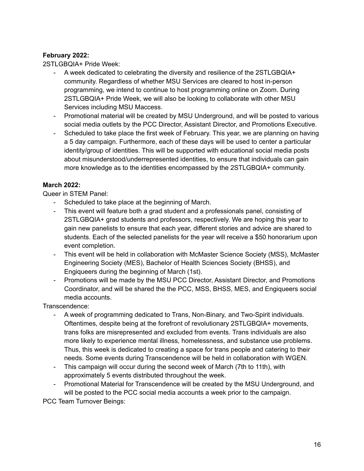#### **February 2022:**

2STLGBQIA+ Pride Week:

- A week dedicated to celebrating the diversity and resilience of the 2STLGBQIA+ community. Regardless of whether MSU Services are cleared to host in-person programming, we intend to continue to host programming online on Zoom. During 2STLGBQIA+ Pride Week, we will also be looking to collaborate with other MSU Services including MSU Maccess.
- Promotional material will be created by MSU Underground, and will be posted to various social media outlets by the PCC Director, Assistant Director, and Promotions Executive.
- Scheduled to take place the first week of February. This year, we are planning on having a 5 day campaign. Furthermore, each of these days will be used to center a particular identity/group of identities. This will be supported with educational social media posts about misunderstood/underrepresented identities, to ensure that individuals can gain more knowledge as to the identities encompassed by the 2STLGBQIA+ community.

#### **March 2022:**

Queer in STEM Panel:

- Scheduled to take place at the beginning of March.
- This event will feature both a grad student and a professionals panel, consisting of 2STLGBQIA+ grad students and professors, respectively. We are hoping this year to gain new panelists to ensure that each year, different stories and advice are shared to students. Each of the selected panelists for the year will receive a \$50 honorarium upon event completion.
- This event will be held in collaboration with McMaster Science Society (MSS), McMaster Engineering Society (MES), Bachelor of Health Sciences Society (BHSS), and Engiqueers during the beginning of March (1st).
- Promotions will be made by the MSU PCC Director, Assistant Director, and Promotions Coordinator, and will be shared the the PCC, MSS, BHSS, MES, and Engiqueers social media accounts.

Transcendence:

- A week of programming dedicated to Trans, Non-Binary, and Two-Spirit individuals. Oftentimes, despite being at the forefront of revolutionary 2STLGBQIA+ movements, trans folks are misrepresented and excluded from events. Trans individuals are also more likely to experience mental illness, homelessness, and substance use problems. Thus, this week is dedicated to creating a space for trans people and catering to their needs. Some events during Transcendence will be held in collaboration with WGEN.
- This campaign will occur during the second week of March (7th to 11th), with approximately 5 events distributed throughout the week.
- Promotional Material for Transcendence will be created by the MSU Underground, and will be posted to the PCC social media accounts a week prior to the campaign.

PCC Team Turnover Beings: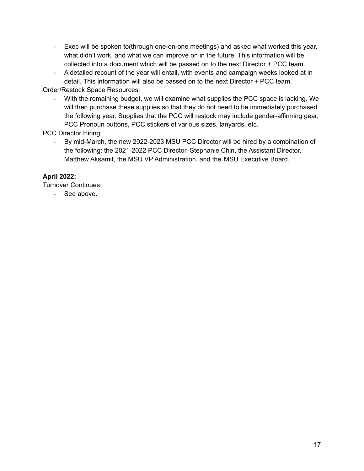- Exec will be spoken to(through one-on-one meetings) and asked what worked this year, what didn't work, and what we can improve on in the future. This information will be collected into a document which will be passed on to the next Director + PCC team.
- A detailed recount of the year will entail, with events and campaign weeks looked at in detail. This information will also be passed on to the next Director + PCC team.

Order/Restock Space Resources:

- With the remaining budget, we will examine what supplies the PCC space is lacking. We will then purchase these supplies so that they do not need to be immediately purchased the following year. Supplies that the PCC will restock may include gender-affirming gear, PCC Pronoun buttons, PCC stickers of various sizes, lanyards, etc.

PCC Director Hiring:

By mid-March, the new 2022-2023 MSU PCC Director will be hired by a combination of the following: the 2021-2022 PCC Director, Stephanie Chin, the Assistant Director, Matthew Aksamit, the MSU VP Administration, and the MSU Executive Board.

#### **April 2022:**

Turnover Continues:

- See above.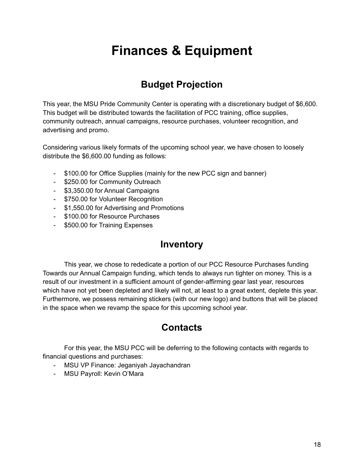# **Finances & Equipment**

### **Budget Projection**

This year, the MSU Pride Community Center is operating with a discretionary budget of \$6,600. This budget will be distributed towards the facilitation of PCC training, office supplies, community outreach, annual campaigns, resource purchases, volunteer recognition, and advertising and promo.

Considering various likely formats of the upcoming school year, we have chosen to loosely distribute the \$6,600.00 funding as follows:

- \$100.00 for Office Supplies (mainly for the new PCC sign and banner)
- \$250.00 for Community Outreach
- \$3,350.00 for Annual Campaigns
- \$750.00 for Volunteer Recognition
- \$1,550.00 for Advertising and Promotions
- \$100.00 for Resource Purchases
- \$500.00 for Training Expenses

#### **Inventory**

This year, we chose to rededicate a portion of our PCC Resource Purchases funding Towards our Annual Campaign funding, which tends to always run tighter on money. This is a result of our investment in a sufficient amount of gender-affirming gear last year, resources which have not yet been depleted and likely will not, at least to a great extent, deplete this year. Furthermore, we possess remaining stickers (with our new logo) and buttons that will be placed in the space when we revamp the space for this upcoming school year.

### **Contacts**

For this year, the MSU PCC will be deferring to the following contacts with regards to financial questions and purchases:

- MSU VP Finance: Jeganiyah Jayachandran
- MSU Payroll: Kevin O'Mara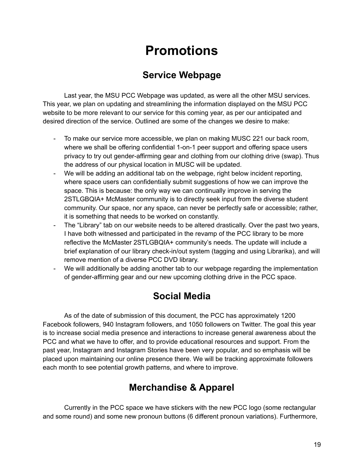# **Promotions**

### **Service Webpage**

Last year, the MSU PCC Webpage was updated, as were all the other MSU services. This year, we plan on updating and streamlining the information displayed on the MSU PCC website to be more relevant to our service for this coming year, as per our anticipated and desired direction of the service. Outlined are some of the changes we desire to make:

- To make our service more accessible, we plan on making MUSC 221 our back room, where we shall be offering confidential 1-on-1 peer support and offering space users privacy to try out gender-affirming gear and clothing from our clothing drive (swap). Thus the address of our physical location in MUSC will be updated.
- We will be adding an additional tab on the webpage, right below incident reporting, where space users can confidentially submit suggestions of how we can improve the space. This is because: the only way we can continually improve in serving the 2STLGBQIA+ McMaster community is to directly seek input from the diverse student community. Our space, nor any space, can never be perfectly safe or accessible; rather, it is something that needs to be worked on constantly.
- The "Library" tab on our website needs to be altered drastically. Over the past two years, I have both witnessed and participated in the revamp of the PCC library to be more reflective the McMaster 2STLGBQIA+ community's needs. The update will include a brief explanation of our library check-in/out system (tagging and using Librarika), and will remove mention of a diverse PCC DVD library.
- We will additionally be adding another tab to our webpage regarding the implementation of gender-affirming gear and our new upcoming clothing drive in the PCC space.

### **Social Media**

As of the date of submission of this document, the PCC has approximately 1200 Facebook followers, 940 Instagram followers, and 1050 followers on Twitter. The goal this year is to increase social media presence and interactions to increase general awareness about the PCC and what we have to offer, and to provide educational resources and support. From the past year, Instagram and Instagram Stories have been very popular, and so emphasis will be placed upon maintaining our online presence there. We will be tracking approximate followers each month to see potential growth patterns, and where to improve.

### **Merchandise & Apparel**

Currently in the PCC space we have stickers with the new PCC logo (some rectangular and some round) and some new pronoun buttons (6 different pronoun variations). Furthermore,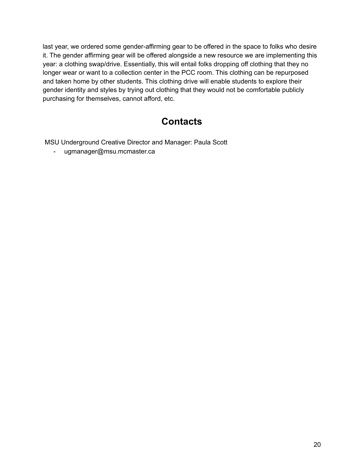last year, we ordered some gender-affirming gear to be offered in the space to folks who desire it. The gender affirming gear will be offered alongside a new resource we are implementing this year: a clothing swap/drive. Essentially, this will entail folks dropping off clothing that they no longer wear or want to a collection center in the PCC room. This clothing can be repurposed and taken home by other students. This clothing drive will enable students to explore their gender identity and styles by trying out clothing that they would not be comfortable publicly purchasing for themselves, cannot afford, etc.

### **Contacts**

MSU Underground Creative Director and Manager: Paula Scott

- ugmanager@msu.mcmaster.ca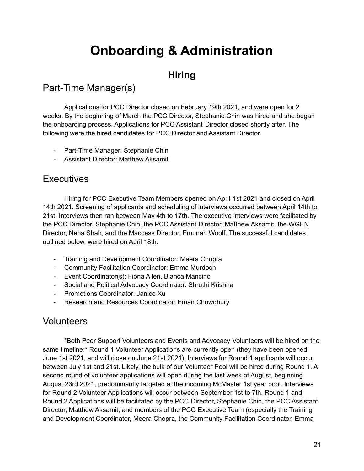# **Onboarding & Administration**

### **Hiring**

### Part-Time Manager(s)

Applications for PCC Director closed on February 19th 2021, and were open for 2 weeks. By the beginning of March the PCC Director, Stephanie Chin was hired and she began the onboarding process. Applications for PCC Assistant Director closed shortly after. The following were the hired candidates for PCC Director and Assistant Director.

- Part-Time Manager: Stephanie Chin
- Assistant Director: Matthew Aksamit

#### **Executives**

Hiring for PCC Executive Team Members opened on April 1st 2021 and closed on April 14th 2021. Screening of applicants and scheduling of interviews occurred between April 14th to 21st. Interviews then ran between May 4th to 17th. The executive interviews were facilitated by the PCC Director, Stephanie Chin, the PCC Assistant Director, Matthew Aksamit, the WGEN Director, Neha Shah, and the Maccess Director, Emunah Woolf. The successful candidates, outlined below, were hired on April 18th.

- Training and Development Coordinator: Meera Chopra
- Community Facilitation Coordinator: Emma Murdoch
- Event Coordinator(s): Fiona Allen, Bianca Mancino
- Social and Political Advocacy Coordinator: Shruthi Krishna
- Promotions Coordinator: Janice Xu
- Research and Resources Coordinator: Eman Chowdhury

#### Volunteers

\*Both Peer Support Volunteers and Events and Advocacy Volunteers will be hired on the same timeline:\* Round 1 Volunteer Applications are currently open (they have been opened June 1st 2021, and will close on June 21st 2021). Interviews for Round 1 applicants will occur between July 1st and 21st. Likely, the bulk of our Volunteer Pool will be hired during Round 1. A second round of volunteer applications will open during the last week of August, beginning August 23rd 2021, predominantly targeted at the incoming McMaster 1st year pool. Interviews for Round 2 Volunteer Applications will occur between September 1st to 7th. Round 1 and Round 2 Applications will be facilitated by the PCC Director, Stephanie Chin, the PCC Assistant Director, Matthew Aksamit, and members of the PCC Executive Team (especially the Training and Development Coordinator, Meera Chopra, the Community Facilitation Coordinator, Emma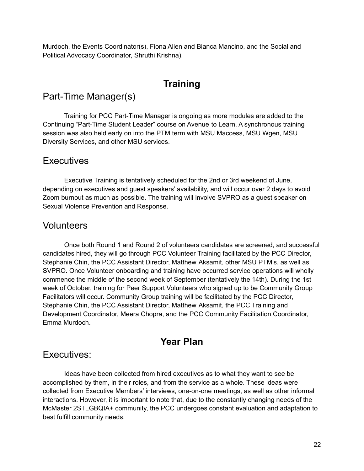Murdoch, the Events Coordinator(s), Fiona Allen and Bianca Mancino, and the Social and Political Advocacy Coordinator, Shruthi Krishna).

### **Training**

#### Part-Time Manager(s)

Training for PCC Part-Time Manager is ongoing as more modules are added to the Continuing "Part-Time Student Leader" course on Avenue to Learn. A synchronous training session was also held early on into the PTM term with MSU Maccess, MSU Wgen, MSU Diversity Services, and other MSU services.

#### **Executives**

Executive Training is tentatively scheduled for the 2nd or 3rd weekend of June, depending on executives and guest speakers' availability, and will occur over 2 days to avoid Zoom burnout as much as possible. The training will involve SVPRO as a guest speaker on Sexual Violence Prevention and Response.

#### Volunteers

Once both Round 1 and Round 2 of volunteers candidates are screened, and successful candidates hired, they will go through PCC Volunteer Training facilitated by the PCC Director, Stephanie Chin, the PCC Assistant Director, Matthew Aksamit, other MSU PTM's, as well as SVPRO. Once Volunteer onboarding and training have occurred service operations will wholly commence the middle of the second week of September (tentatively the 14th). During the 1st week of October, training for Peer Support Volunteers who signed up to be Community Group Facilitators will occur. Community Group training will be facilitated by the PCC Director, Stephanie Chin, the PCC Assistant Director, Matthew Aksamit, the PCC Training and Development Coordinator, Meera Chopra, and the PCC Community Facilitation Coordinator, Emma Murdoch.

### **Year Plan**

#### Executives:

Ideas have been collected from hired executives as to what they want to see be accomplished by them, in their roles, and from the service as a whole. These ideas were collected from Executive Members' interviews, one-on-one meetings, as well as other informal interactions. However, it is important to note that, due to the constantly changing needs of the McMaster 2STLGBQIA+ community, the PCC undergoes constant evaluation and adaptation to best fulfill community needs.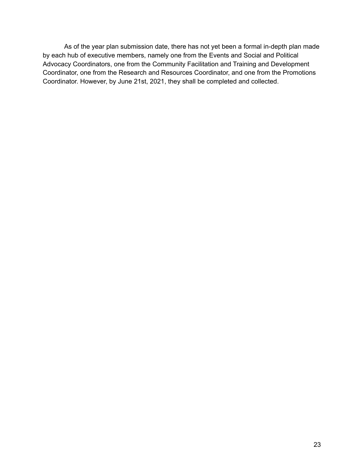As of the year plan submission date, there has not yet been a formal in-depth plan made by each hub of executive members, namely one from the Events and Social and Political Advocacy Coordinators, one from the Community Facilitation and Training and Development Coordinator, one from the Research and Resources Coordinator, and one from the Promotions Coordinator. However, by June 21st, 2021, they shall be completed and collected.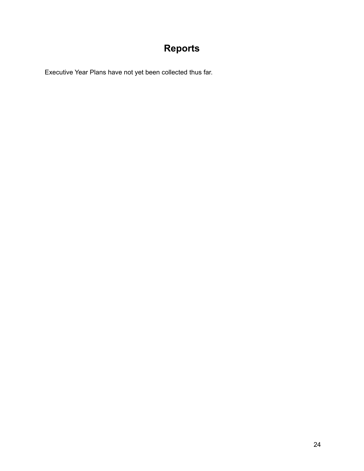## **Reports**

Executive Year Plans have not yet been collected thus far.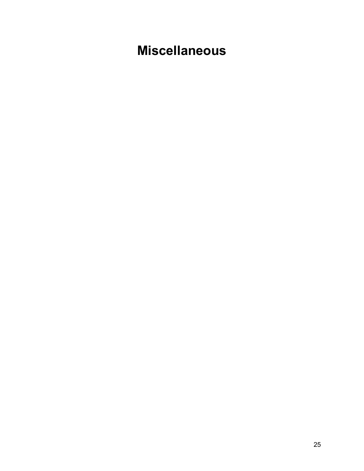# **Miscellaneous**